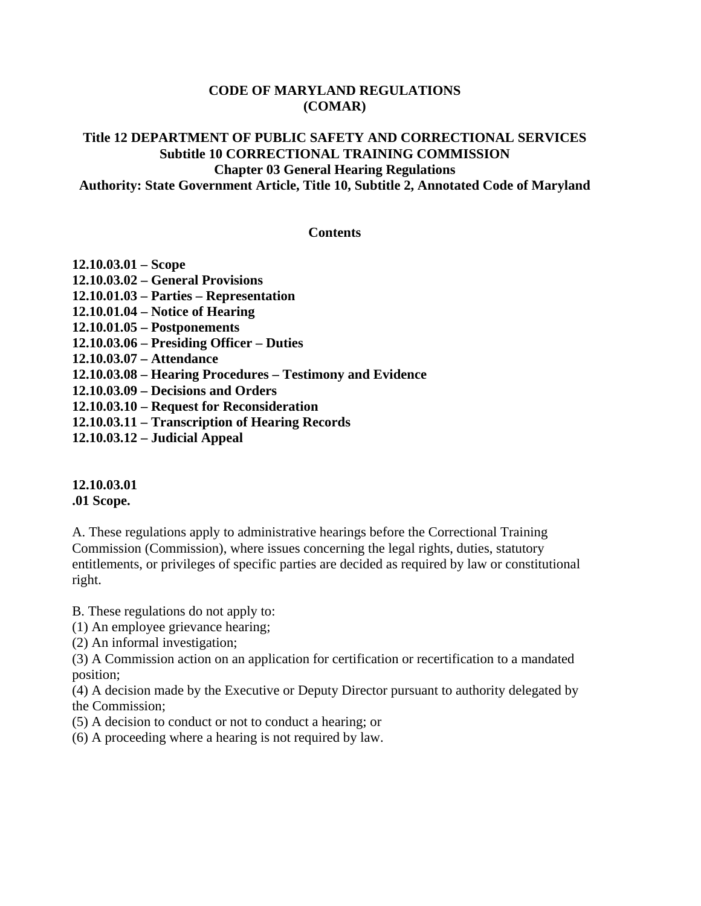#### **CODE OF MARYLAND REGULATIONS (COMAR)**

#### **Title 12 DEPARTMENT OF PUBLIC SAFETY AND CORRECTIONAL SERVICES Subtitle 10 CORRECTIONAL TRAINING COMMISSION Chapter 03 General Hearing Regulations Authority: State Government Article, Title 10, Subtitle 2, Annotated Code of Maryland**

#### **Contents**

| $12.10.03.01 - \text{Scope}$                              |
|-----------------------------------------------------------|
| 12.10.03.02 – General Provisions                          |
| 12.10.01.03 – Parties – Representation                    |
| $12.10.01.04$ – Notice of Hearing                         |
| $12.10.01.05 - Postponents$                               |
| 12.10.03.06 – Presiding Officer – Duties                  |
| 12.10.03.07 - Attendance                                  |
| 12.10.03.08 – Hearing Procedures – Testimony and Evidence |
| 12.10.03.09 – Decisions and Orders                        |
| 12.10.03.10 – Request for Reconsideration                 |
| 12.10.03.11 – Transcription of Hearing Records            |
|                                                           |

**12.10.03.12 – Judicial Appeal** 

#### **12.10.03.01 .01 Scope.**

A. These regulations apply to administrative hearings before the Correctional Training Commission (Commission), where issues concerning the legal rights, duties, statutory entitlements, or privileges of specific parties are decided as required by law or constitutional right.

B. These regulations do not apply to:

(1) An employee grievance hearing;

(2) An informal investigation;

(3) A Commission action on an application for certification or recertification to a mandated position;

(4) A decision made by the Executive or Deputy Director pursuant to authority delegated by the Commission;

(5) A decision to conduct or not to conduct a hearing; or

(6) A proceeding where a hearing is not required by law.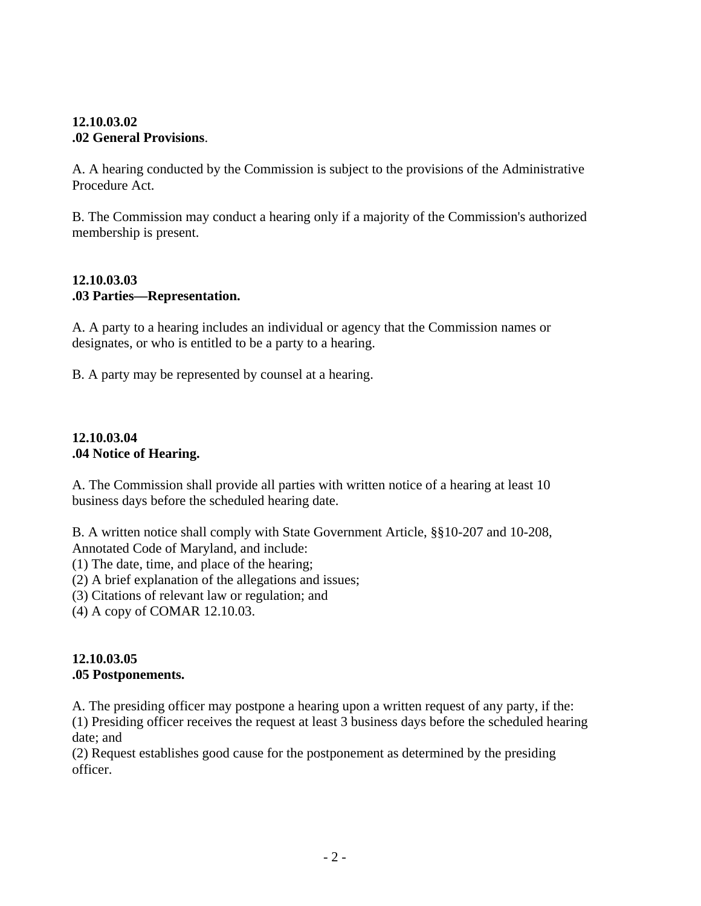#### **12.10.03.02 .02 General Provisions**.

A. A hearing conducted by the Commission is subject to the provisions of the Administrative Procedure Act.

B. The Commission may conduct a hearing only if a majority of the Commission's authorized membership is present.

#### **12.10.03.03 .03 Parties—Representation.**

A. A party to a hearing includes an individual or agency that the Commission names or designates, or who is entitled to be a party to a hearing.

B. A party may be represented by counsel at a hearing.

#### **12.10.03.04 .04 Notice of Hearing.**

A. The Commission shall provide all parties with written notice of a hearing at least 10 business days before the scheduled hearing date.

B. A written notice shall comply with State Government Article, §§10-207 and 10-208, Annotated Code of Maryland, and include:

(1) The date, time, and place of the hearing;

(2) A brief explanation of the allegations and issues;

(3) Citations of relevant law or regulation; and

(4) A copy of COMAR 12.10.03.

### **12.10.03.05 .05 Postponements.**

A. The presiding officer may postpone a hearing upon a written request of any party, if the: (1) Presiding officer receives the request at least 3 business days before the scheduled hearing date; and

(2) Request establishes good cause for the postponement as determined by the presiding officer.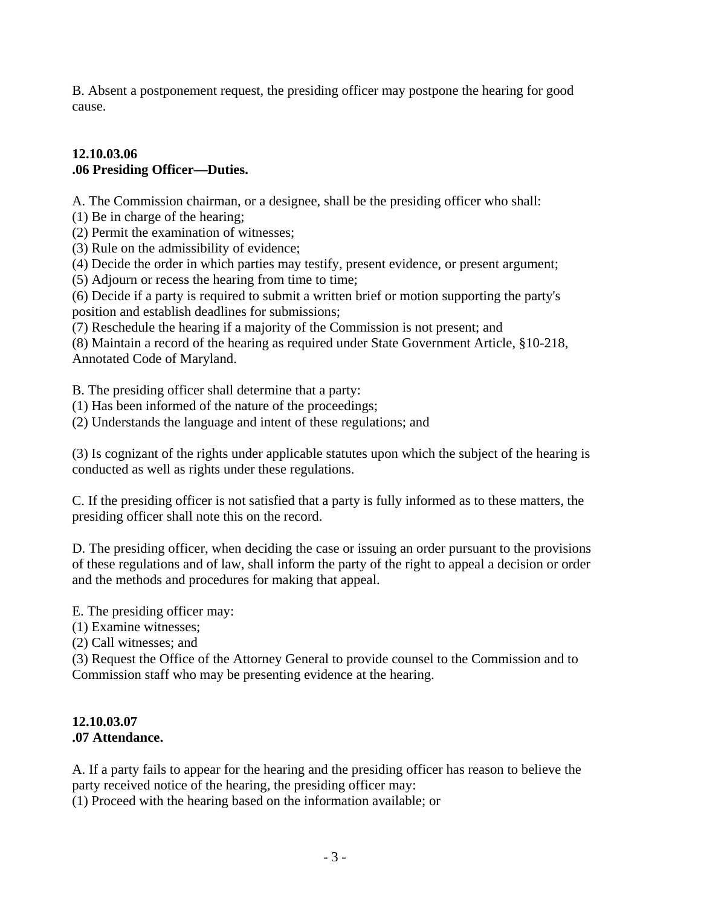B. Absent a postponement request, the presiding officer may postpone the hearing for good cause.

### **12.10.03.06 .06 Presiding Officer—Duties.**

A. The Commission chairman, or a designee, shall be the presiding officer who shall:

- (1) Be in charge of the hearing;
- (2) Permit the examination of witnesses;
- (3) Rule on the admissibility of evidence;
- (4) Decide the order in which parties may testify, present evidence, or present argument;
- (5) Adjourn or recess the hearing from time to time;
- (6) Decide if a party is required to submit a written brief or motion supporting the party's position and establish deadlines for submissions;
- (7) Reschedule the hearing if a majority of the Commission is not present; and

(8) Maintain a record of the hearing as required under State Government Article, §10-218, Annotated Code of Maryland.

B. The presiding officer shall determine that a party:

- (1) Has been informed of the nature of the proceedings;
- (2) Understands the language and intent of these regulations; and

(3) Is cognizant of the rights under applicable statutes upon which the subject of the hearing is conducted as well as rights under these regulations.

C. If the presiding officer is not satisfied that a party is fully informed as to these matters, the presiding officer shall note this on the record.

D. The presiding officer, when deciding the case or issuing an order pursuant to the provisions of these regulations and of law, shall inform the party of the right to appeal a decision or order and the methods and procedures for making that appeal.

E. The presiding officer may:

- (1) Examine witnesses;
- (2) Call witnesses; and

(3) Request the Office of the Attorney General to provide counsel to the Commission and to Commission staff who may be presenting evidence at the hearing.

#### **12.10.03.07 .07 Attendance.**

A. If a party fails to appear for the hearing and the presiding officer has reason to believe the party received notice of the hearing, the presiding officer may:

(1) Proceed with the hearing based on the information available; or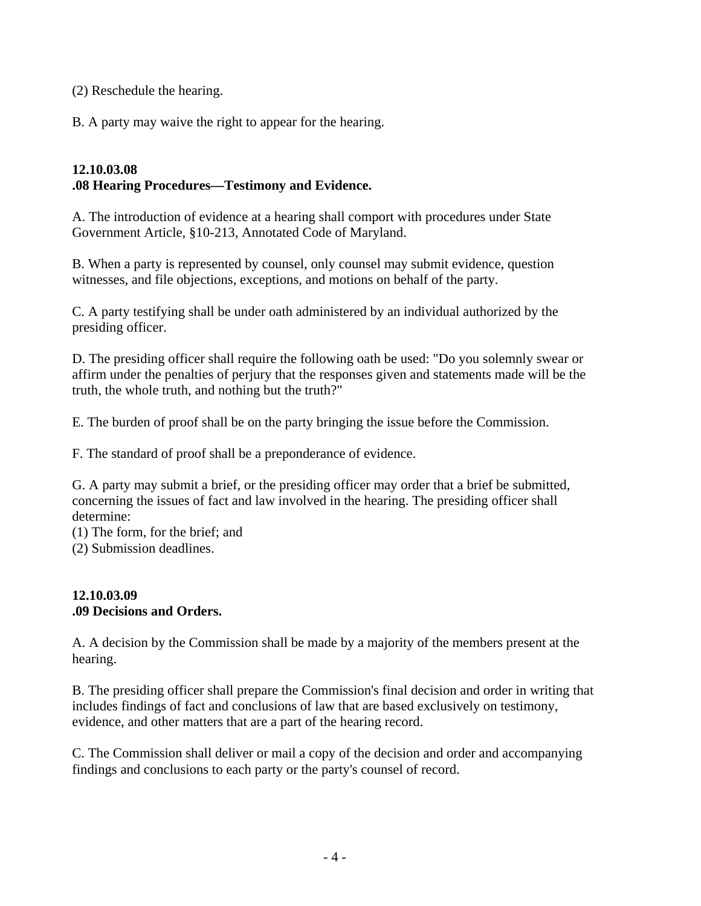(2) Reschedule the hearing.

B. A party may waive the right to appear for the hearing.

#### **12.10.03.08 .08 Hearing Procedures—Testimony and Evidence.**

A. The introduction of evidence at a hearing shall comport with procedures under State Government Article, §10-213, Annotated Code of Maryland.

B. When a party is represented by counsel, only counsel may submit evidence, question witnesses, and file objections, exceptions, and motions on behalf of the party.

C. A party testifying shall be under oath administered by an individual authorized by the presiding officer.

D. The presiding officer shall require the following oath be used: "Do you solemnly swear or affirm under the penalties of perjury that the responses given and statements made will be the truth, the whole truth, and nothing but the truth?"

E. The burden of proof shall be on the party bringing the issue before the Commission.

F. The standard of proof shall be a preponderance of evidence.

G. A party may submit a brief, or the presiding officer may order that a brief be submitted, concerning the issues of fact and law involved in the hearing. The presiding officer shall determine:

(1) The form, for the brief; and

(2) Submission deadlines.

#### **12.10.03.09 .09 Decisions and Orders.**

A. A decision by the Commission shall be made by a majority of the members present at the hearing.

B. The presiding officer shall prepare the Commission's final decision and order in writing that includes findings of fact and conclusions of law that are based exclusively on testimony, evidence, and other matters that are a part of the hearing record.

C. The Commission shall deliver or mail a copy of the decision and order and accompanying findings and conclusions to each party or the party's counsel of record.